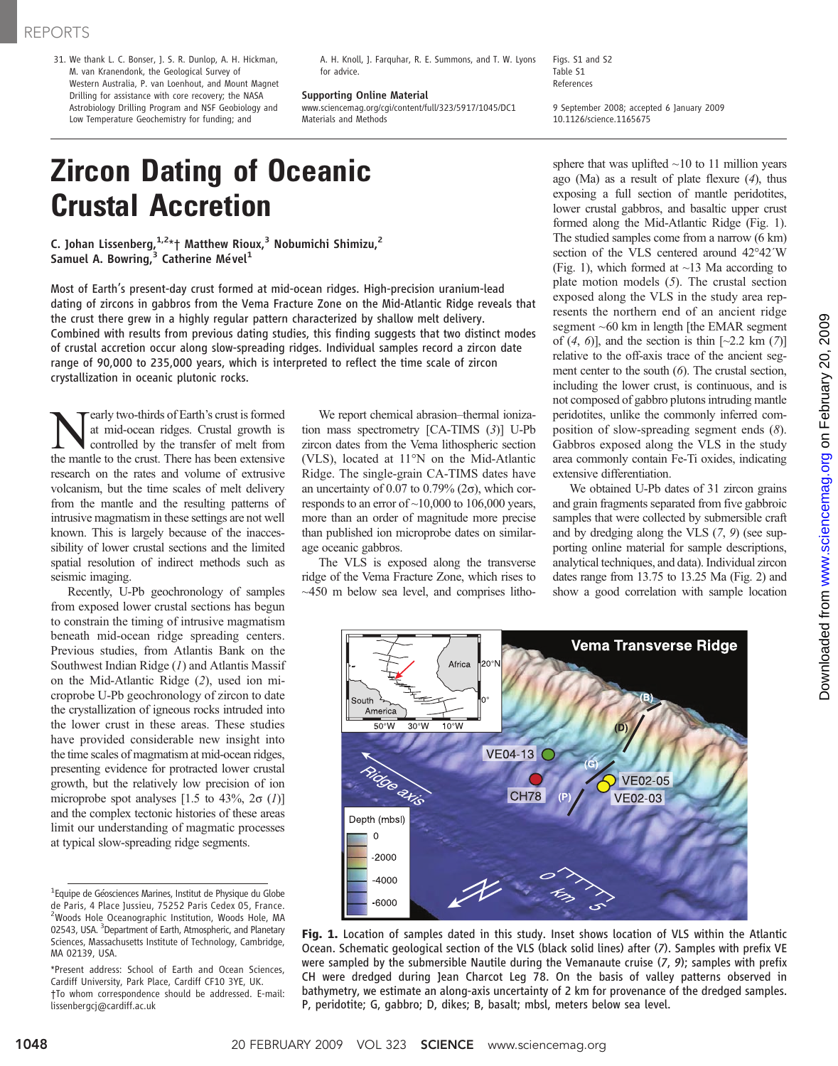31. We thank L. C. Bonser, J. S. R. Dunlop, A. H. Hickman, M. van Kranendonk, the Geological Survey of Western Australia, P. van Loenhout, and Mount Magnet Drilling for assistance with core recovery; the NASA Astrobiology Drilling Program and NSF Geobiology and Low Temperature Geochemistry for funding; and

A. H. Knoll, J. Farquhar, R. E. Summons, and T. W. Lyons for advice.

Supporting Online Material www.sciencemag.org/cgi/content/full/323/5917/1045/DC1 Materials and Methods

Figs. S1 and S2 Table S1 References

9 September 2008; accepted 6 January 2009 10.1126/science.1165675

# Zircon Dating of Oceanic Crustal Accretion

C. Johan Lissenberg, $1.2*$ † Matthew Rioux, $^3$  Nobumichi Shimizu, $^2$ Samuel A. Bowring, $^3$  Catherine Mével<sup>1</sup>

Most of Earth's present-day crust formed at mid-ocean ridges. High-precision uranium-lead dating of zircons in gabbros from the Vema Fracture Zone on the Mid-Atlantic Ridge reveals that the crust there grew in a highly regular pattern characterized by shallow melt delivery. Combined with results from previous dating studies, this finding suggests that two distinct modes of crustal accretion occur along slow-spreading ridges. Individual samples record a zircon date range of 90,000 to 235,000 years, which is interpreted to reflect the time scale of zircon crystallization in oceanic plutonic rocks.

**Nearly two-thirds of Earth's crust is formed**<br>at mid-ocean ridges. Crustal growth is<br>controlled by the transfer of melt from<br>the mantle to the crust There has been extensive at mid-ocean ridges. Crustal growth is the mantle to the crust. There has been extensive research on the rates and volume of extrusive volcanism, but the time scales of melt delivery from the mantle and the resulting patterns of intrusive magmatism in these settings are not well known. This is largely because of the inaccessibility of lower crustal sections and the limited spatial resolution of indirect methods such as seismic imaging.

Recently, U-Pb geochronology of samples from exposed lower crustal sections has begun to constrain the timing of intrusive magmatism beneath mid-ocean ridge spreading centers. Previous studies, from Atlantis Bank on the Southwest Indian Ridge  $(I)$  and Atlantis Massif on the Mid-Atlantic Ridge (2), used ion microprobe U-Pb geochronology of zircon to date the crystallization of igneous rocks intruded into the lower crust in these areas. These studies have provided considerable new insight into the time scales of magmatism at mid-ocean ridges, presenting evidence for protracted lower crustal growth, but the relatively low precision of ion microprobe spot analyses  $[1.5 \text{ to } 43\%, 2\sigma (1)]$ and the complex tectonic histories of these areas limit our understanding of magmatic processes at typical slow-spreading ridge segments.

We report chemical abrasion–thermal ionization mass spectrometry [CA-TIMS (3)] U-Pb zircon dates from the Vema lithospheric section (VLS), located at 11°N on the Mid-Atlantic Ridge. The single-grain CA-TIMS dates have an uncertainty of 0.07 to 0.79% ( $2\sigma$ ), which corresponds to an error of  $~10,000$  to 106,000 years, more than an order of magnitude more precise than published ion microprobe dates on similarage oceanic gabbros.

The VLS is exposed along the transverse ridge of the Vema Fracture Zone, which rises to  $\sim$ 450 m below sea level, and comprises litho-



We obtained U-Pb dates of 31 zircon grains and grain fragments separated from five gabbroic samples that were collected by submersible craft and by dredging along the VLS (7, 9) (see supporting online material for sample descriptions, analytical techniques, and data). Individual zircon dates range from 13.75 to 13.25 Ma (Fig. 2) and show a good correlation with sample location



Fig. 1. Location of samples dated in this study. Inset shows location of VLS within the Atlantic Ocean. Schematic geological section of the VLS (black solid lines) after (7). Samples with prefix VE were sampled by the submersible Nautile during the Vemanaute cruise  $(7, 9)$ ; samples with prefix CH were dredged during Jean Charcot Leg 78. On the basis of valley patterns observed in bathymetry, we estimate an along-axis uncertainty of 2 km for provenance of the dredged samples. P, peridotite; G, gabbro; D, dikes; B, basalt; mbsl, meters below sea level.

<sup>&</sup>lt;sup>1</sup> Equipe de Géosciences Marines, Institut de Physique du Globe de Paris, 4 Place Jussieu, 75252 Paris Cedex 05, France. <sup>2</sup>Woods Hole Oceanographic Institution, Woods Hole, MA 02543, USA. <sup>3</sup> Department of Earth, Atmospheric, and Planetary Sciences, Massachusetts Institute of Technology, Cambridge, MA 02139, USA.

<sup>\*</sup>Present address: School of Earth and Ocean Sciences, Cardiff University, Park Place, Cardiff CF10 3YE, UK. †To whom correspondence should be addressed. E-mail: lissenbergcj@cardiff.ac.uk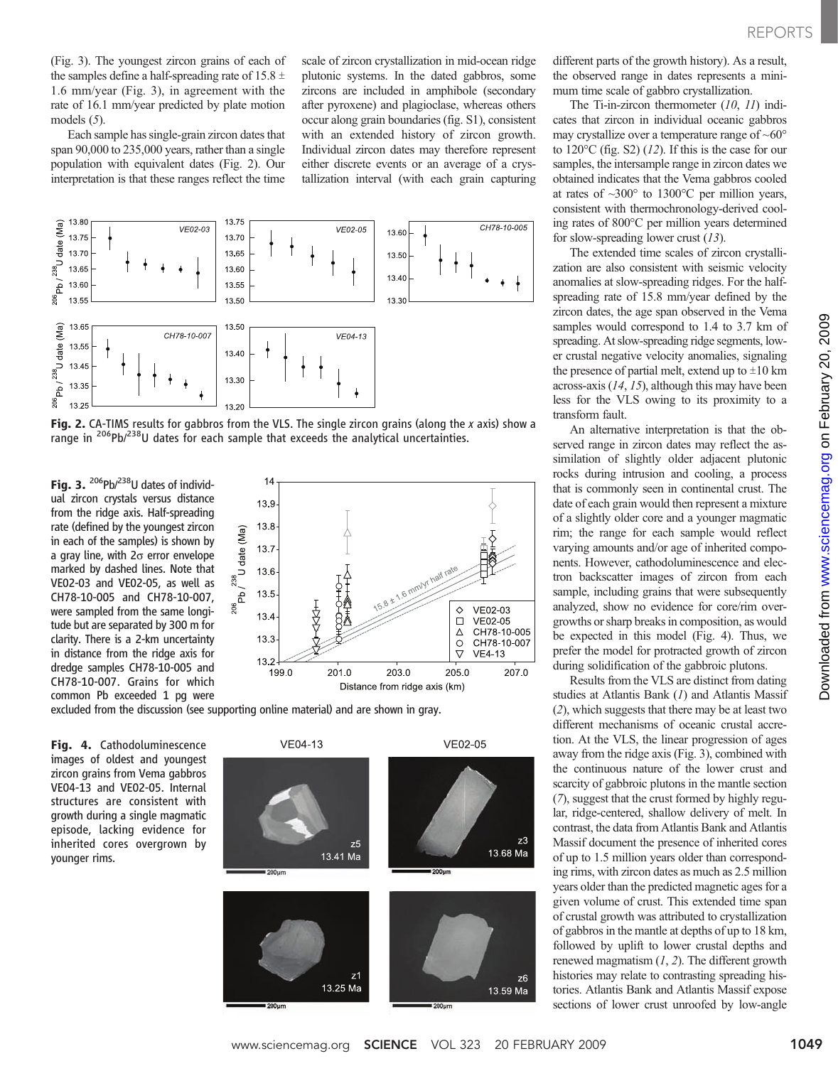(Fig. 3). The youngest zircon grains of each of the samples define a half-spreading rate of 15.8  $\pm$ 1.6 mm/year (Fig. 3), in agreement with the rate of 16.1 mm/year predicted by plate motion models (5).

Each sample has single-grain zircon dates that span 90,000 to 235,000 years, rather than a single population with equivalent dates (Fig. 2). Our interpretation is that these ranges reflect the time

scale of zircon crystallization in mid-ocean ridge plutonic systems. In the dated gabbros, some zircons are included in amphibole (secondary after pyroxene) and plagioclase, whereas others occur along grain boundaries (fig. S1), consistent with an extended history of zircon growth. Individual zircon dates may therefore represent either discrete events or an average of a crystallization interval (with each grain capturing



Fig. 2. CA-TIMS results for gabbros from the VLS. The single zircon grains (along the x axis) show a range in <sup>206</sup>Pb/<sup>238</sup>U dates for each sample that exceeds the analytical uncertainties.

Fig. 3.  $^{206}Pb^{238}U$  dates of individual zircon crystals versus distance from the ridge axis. Half-spreading rate (defined by the youngest zircon in each of the samples) is shown by a gray line, with  $2\sigma$  error envelope marked by dashed lines. Note that VE02-03 and VE02-05, as well as CH78-10-005 and CH78-10-007, were sampled from the same longitude but are separated by 300 m for clarity. There is a 2-km uncertainty in distance from the ridge axis for dredge samples CH78-10-005 and CH78-10-007. Grains for which common Pb exceeded 1 pg were



excluded from the discussion (see supporting online material) and are shown in gray.

Fig. 4. Cathodoluminescence images of oldest and youngest zircon grains from Vema gabbros VE04-13 and VE02-05. Internal structures are consistent with growth during a single magmatic episode, lacking evidence for inherited cores overgrown by younger rims.



different parts of the growth history). As a result, the observed range in dates represents a minimum time scale of gabbro crystallization.

The Ti-in-zircon thermometer (10, 11) indicates that zircon in individual oceanic gabbros may crystallize over a temperature range of  $~60^{\circ}$ to  $120^{\circ}$ C (fig. S2) (12). If this is the case for our samples, the intersample range in zircon dates we obtained indicates that the Vema gabbros cooled at rates of ~300° to 1300°C per million years, consistent with thermochronology-derived cooling rates of 800°C per million years determined for slow-spreading lower crust  $(13)$ .

The extended time scales of zircon crystallization are also consistent with seismic velocity anomalies at slow-spreading ridges. For the halfspreading rate of 15.8 mm/year defined by the zircon dates, the age span observed in the Vema samples would correspond to 1.4 to 3.7 km of spreading. At slow-spreading ridge segments, lower crustal negative velocity anomalies, signaling the presence of partial melt, extend up to  $\pm 10$  km across-axis  $(14, 15)$ , although this may have been less for the VLS owing to its proximity to a transform fault.

An alternative interpretation is that the observed range in zircon dates may reflect the assimilation of slightly older adjacent plutonic rocks during intrusion and cooling, a process that is commonly seen in continental crust. The date of each grain would then represent a mixture of a slightly older core and a younger magmatic rim; the range for each sample would reflect varying amounts and/or age of inherited components. However, cathodoluminescence and electron backscatter images of zircon from each sample, including grains that were subsequently analyzed, show no evidence for core/rim overgrowths or sharp breaks in composition, as would be expected in this model (Fig. 4). Thus, we prefer the model for protracted growth of zircon during solidification of the gabbroic plutons.

Results from the VLS are distinct from dating studies at Atlantis Bank (1) and Atlantis Massif (2), which suggests that there may be at least two different mechanisms of oceanic crustal accretion. At the VLS, the linear progression of ages away from the ridge axis (Fig. 3), combined with the continuous nature of the lower crust and scarcity of gabbroic plutons in the mantle section (7), suggest that the crust formed by highly regular, ridge-centered, shallow delivery of melt. In contrast, the data from Atlantis Bank and Atlantis Massif document the presence of inherited cores of up to 1.5 million years older than corresponding rims, with zircon dates as much as 2.5 million years older than the predicted magnetic ages for a given volume of crust. This extended time span of crustal growth was attributed to crystallization of gabbros in the mantle at depths of up to 18 km, followed by uplift to lower crustal depths and renewed magmatism  $(1, 2)$ . The different growth histories may relate to contrasting spreading histories. Atlantis Bank and Atlantis Massif expose sections of lower crust unroofed by low-angle